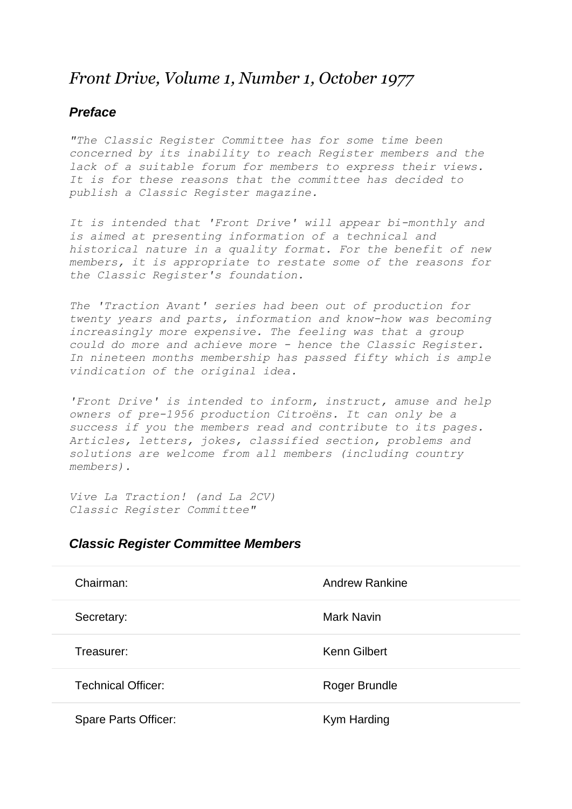## *Front Drive, Volume 1, Number 1, October 1977*

## *Preface*

*"The Classic Register Committee has for some time been concerned by its inability to reach Register members and the lack of a suitable forum for members to express their views. It is for these reasons that the committee has decided to publish a Classic Register magazine.*

*It is intended that 'Front Drive' will appear bi-monthly and is aimed at presenting information of a technical and historical nature in a quality format. For the benefit of new members, it is appropriate to restate some of the reasons for the Classic Register's foundation.*

*The 'Traction Avant' series had been out of production for twenty years and parts, information and know-how was becoming increasingly more expensive. The feeling was that a group could do more and achieve more - hence the Classic Register. In nineteen months membership has passed fifty which is ample vindication of the original idea.*

*'Front Drive' is intended to inform, instruct, amuse and help owners of pre-1956 production Citroëns. It can only be a success if you the members read and contribute to its pages. Articles, letters, jokes, classified section, problems and solutions are welcome from all members (including country members).*

*Vive La Traction! (and La 2CV) Classic Register Committee"*

## *Classic Register Committee Members*

| Chairman:                   | <b>Andrew Rankine</b> |
|-----------------------------|-----------------------|
| Secretary:                  | Mark Navin            |
| Treasurer:                  | Kenn Gilbert          |
| <b>Technical Officer:</b>   | Roger Brundle         |
| <b>Spare Parts Officer:</b> | Kym Harding           |